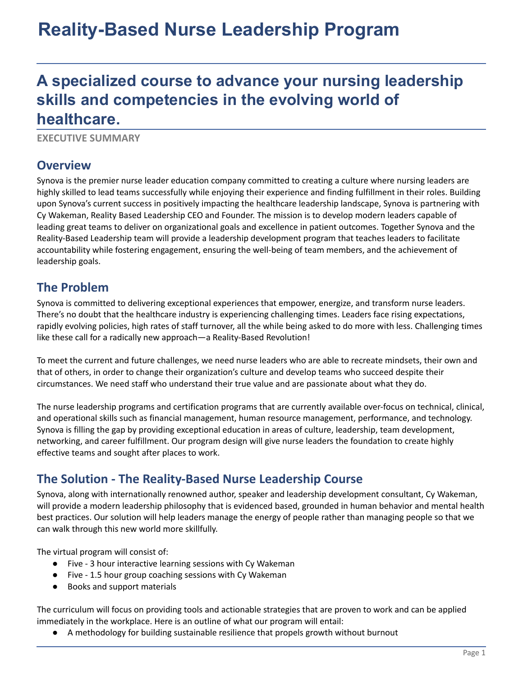# **Reality-Based Nurse Leadership Program**

## **A specialized course to advance your nursing leadership skills and competencies in the evolving world of healthcare.**

**EXECUTIVE SUMMARY**

#### **Overview**

Synova is the premier nurse leader education company committed to creating a culture where nursing leaders are highly skilled to lead teams successfully while enjoying their experience and finding fulfillment in their roles. Building upon Synova's current success in positively impacting the healthcare leadership landscape, Synova is partnering with Cy Wakeman, Reality Based Leadership CEO and Founder. The mission is to develop modern leaders capable of leading great teams to deliver on organizational goals and excellence in patient outcomes. Together Synova and the Reality-Based Leadership team will provide a leadership development program that teaches leaders to facilitate accountability while fostering engagement, ensuring the well-being of team members, and the achievement of leadership goals.

#### **The Problem**

Synova is committed to delivering exceptional experiences that empower, energize, and transform nurse leaders. There's no doubt that the healthcare industry is experiencing challenging times. Leaders face rising expectations, rapidly evolving policies, high rates of staff turnover, all the while being asked to do more with less. Challenging times like these call for a radically new approach—a Reality-Based Revolution!

To meet the current and future challenges, we need nurse leaders who are able to recreate mindsets, their own and that of others, in order to change their organization's culture and develop teams who succeed despite their circumstances. We need staff who understand their true value and are passionate about what they do.

The nurse leadership programs and certification programs that are currently available over-focus on technical, clinical, and operational skills such as financial management, human resource management, performance, and technology. Synova is filling the gap by providing exceptional education in areas of culture, leadership, team development, networking, and career fulfillment. Our program design will give nurse leaders the foundation to create highly effective teams and sought after places to work.

#### **The Solution - The Reality-Based Nurse Leadership Course**

Synova, along with internationally renowned author, speaker and leadership development consultant, Cy Wakeman, will provide a modern leadership philosophy that is evidenced based, grounded in human behavior and mental health best practices. Our solution will help leaders manage the energy of people rather than managing people so that we can walk through this new world more skillfully.

The virtual program will consist of:

- Five 3 hour interactive learning sessions with Cy Wakeman
- Five 1.5 hour group coaching sessions with Cy Wakeman
- Books and support materials

The curriculum will focus on providing tools and actionable strategies that are proven to work and can be applied immediately in the workplace. Here is an outline of what our program will entail:

A methodology for building sustainable resilience that propels growth without burnout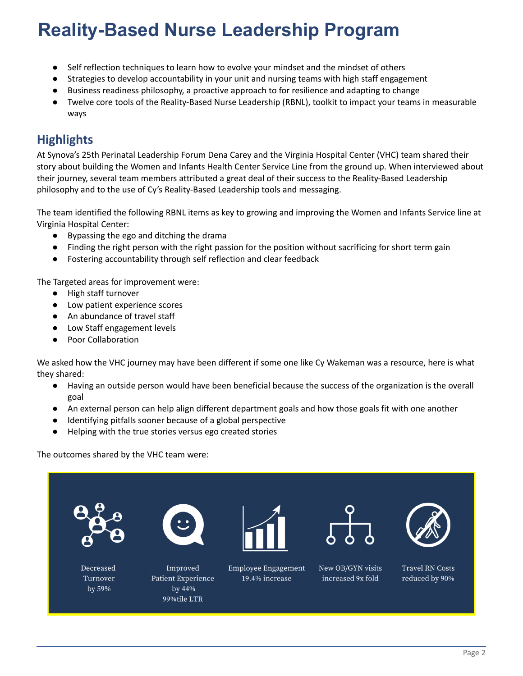# **Reality-Based Nurse Leadership Program**

- Self reflection techniques to learn how to evolve your mindset and the mindset of others
- Strategies to develop accountability in your unit and nursing teams with high staff engagement
- Business readiness philosophy, a proactive approach to for resilience and adapting to change
- Twelve core tools of the Reality-Based Nurse Leadership (RBNL), toolkit to impact your teams in measurable ways

### **Highlights**

At Synova's 25th Perinatal Leadership Forum Dena Carey and the Virginia Hospital Center (VHC) team shared their story about building the Women and Infants Health Center Service Line from the ground up. When interviewed about their journey, several team members attributed a great deal of their success to the Reality-Based Leadership philosophy and to the use of Cy's Reality-Based Leadership tools and messaging.

The team identified the following RBNL items as key to growing and improving the Women and Infants Service line at Virginia Hospital Center:

- Bypassing the ego and ditching the drama
- Finding the right person with the right passion for the position without sacrificing for short term gain
- Fostering accountability through self reflection and clear feedback

The Targeted areas for improvement were:

- High staff turnover
- Low patient experience scores
- An abundance of travel staff
- Low Staff engagement levels
- Poor Collaboration

We asked how the VHC journey may have been different if some one like Cy Wakeman was a resource, here is what they shared:

- Having an outside person would have been beneficial because the success of the organization is the overall goal
- An external person can help align different department goals and how those goals fit with one another
- Identifying pitfalls sooner because of a global perspective
- Helping with the true stories versus ego created stories

The outcomes shared by the VHC team were: